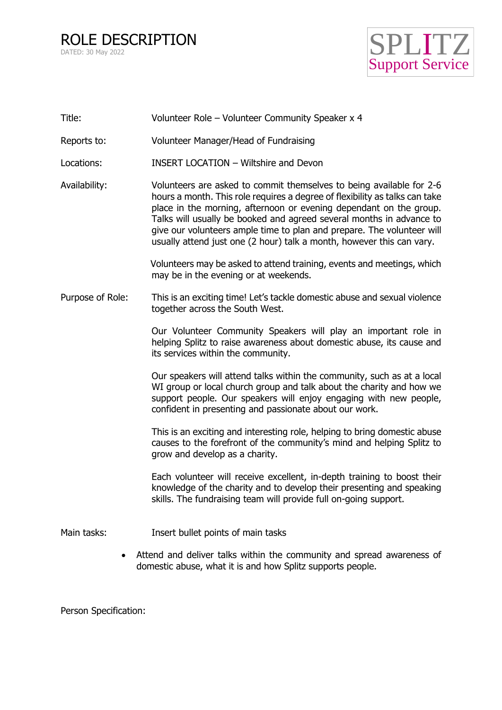ROLE DESCRIPTION DATED: 30 May 2022



| Title:           | Volunteer Role - Volunteer Community Speaker x 4                                                                                                                                                                                                                                                                                                                                                                                                     |
|------------------|------------------------------------------------------------------------------------------------------------------------------------------------------------------------------------------------------------------------------------------------------------------------------------------------------------------------------------------------------------------------------------------------------------------------------------------------------|
| Reports to:      | Volunteer Manager/Head of Fundraising                                                                                                                                                                                                                                                                                                                                                                                                                |
| Locations:       | <b>INSERT LOCATION - Wiltshire and Devon</b>                                                                                                                                                                                                                                                                                                                                                                                                         |
| Availability:    | Volunteers are asked to commit themselves to being available for 2-6<br>hours a month. This role requires a degree of flexibility as talks can take<br>place in the morning, afternoon or evening dependant on the group.<br>Talks will usually be booked and agreed several months in advance to<br>give our volunteers ample time to plan and prepare. The volunteer will<br>usually attend just one (2 hour) talk a month, however this can vary. |
|                  | Volunteers may be asked to attend training, events and meetings, which<br>may be in the evening or at weekends.                                                                                                                                                                                                                                                                                                                                      |
| Purpose of Role: | This is an exciting time! Let's tackle domestic abuse and sexual violence<br>together across the South West.                                                                                                                                                                                                                                                                                                                                         |
|                  | Our Volunteer Community Speakers will play an important role in<br>helping Splitz to raise awareness about domestic abuse, its cause and<br>its services within the community.                                                                                                                                                                                                                                                                       |
|                  | Our speakers will attend talks within the community, such as at a local<br>WI group or local church group and talk about the charity and how we<br>support people. Our speakers will enjoy engaging with new people,<br>confident in presenting and passionate about our work.                                                                                                                                                                       |
|                  | This is an exciting and interesting role, helping to bring domestic abuse<br>causes to the forefront of the community's mind and helping Splitz to<br>grow and develop as a charity.                                                                                                                                                                                                                                                                 |
|                  | Each volunteer will receive excellent, in-depth training to boost their<br>knowledge of the charity and to develop their presenting and speaking<br>skills. The fundraising team will provide full on-going support.                                                                                                                                                                                                                                 |
| Main tasks:      | Insert bullet points of main tasks                                                                                                                                                                                                                                                                                                                                                                                                                   |
| $\bullet$        | Attend and deliver talks within the community and spread awareness of<br>domestic abuse, what it is and how Splitz supports people.                                                                                                                                                                                                                                                                                                                  |

Person Specification: